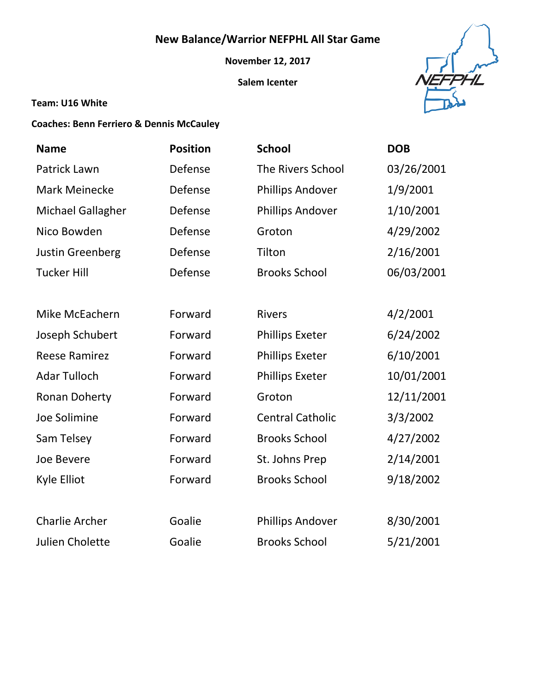# **New Balance/Warrior NEFPHL All Star Game**

**November 12, 2017**

**Salem Icenter**



#### **Team: U16 White**

### **Coaches: Benn Ferriero & Dennis McCauley**

| <b>Name</b>             | <b>Position</b> | <b>School</b>            | <b>DOB</b> |
|-------------------------|-----------------|--------------------------|------------|
| Patrick Lawn            | Defense         | <b>The Rivers School</b> | 03/26/2001 |
| <b>Mark Meinecke</b>    | Defense         | <b>Phillips Andover</b>  | 1/9/2001   |
| Michael Gallagher       | Defense         | <b>Phillips Andover</b>  | 1/10/2001  |
| Nico Bowden             | Defense         | Groton                   | 4/29/2002  |
| <b>Justin Greenberg</b> | Defense         | Tilton                   | 2/16/2001  |
| <b>Tucker Hill</b>      | Defense         | <b>Brooks School</b>     | 06/03/2001 |
|                         |                 |                          |            |
| Mike McEachern          | Forward         | <b>Rivers</b>            | 4/2/2001   |
| Joseph Schubert         | Forward         | <b>Phillips Exeter</b>   | 6/24/2002  |
| <b>Reese Ramirez</b>    | Forward         | <b>Phillips Exeter</b>   | 6/10/2001  |
| <b>Adar Tulloch</b>     | Forward         | <b>Phillips Exeter</b>   | 10/01/2001 |
| <b>Ronan Doherty</b>    | Forward         | Groton                   | 12/11/2001 |
| Joe Solimine            | Forward         | <b>Central Catholic</b>  | 3/3/2002   |
| Sam Telsey              | Forward         | <b>Brooks School</b>     | 4/27/2002  |
| Joe Bevere              | Forward         | St. Johns Prep           | 2/14/2001  |
| Kyle Elliot             | Forward         | <b>Brooks School</b>     | 9/18/2002  |
|                         |                 |                          |            |
| <b>Charlie Archer</b>   | Goalie          | <b>Phillips Andover</b>  | 8/30/2001  |
| Julien Cholette         | Goalie          | <b>Brooks School</b>     | 5/21/2001  |